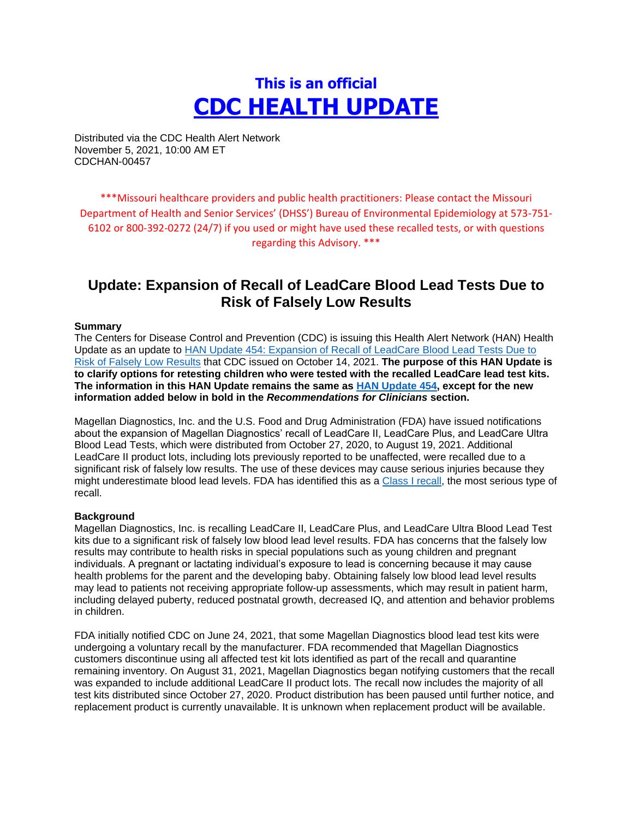# **This is an official CDC HEALTH UPDATE**

Distributed via the CDC Health Alert Network November 5, 2021, 10:00 AM ET CDCHAN-00457

\*\*\*Missouri healthcare providers and public health practitioners: Please contact the Missouri Department of Health and Senior Services' (DHSS') Bureau of Environmental Epidemiology at 573-751- 6102 or 800-392-0272 (24/7) if you used or might have used these recalled tests, or with questions regarding this Advisory. \*\*\*

# **Update: Expansion of Recall of LeadCare Blood Lead Tests Due to Risk of Falsely Low Results**

#### **Summary**

The Centers for Disease Control and Prevention (CDC) is issuing this Health Alert Network (HAN) Health Update as an update to [HAN Update 454: Expansion of Recall of LeadCare Blood Lead Tests Due to](https://urldefense.com/v3/__https:/emergency.cdc.gov/han/2021/han00454.asp__;!!EErPFA7f--AJOw!Ty0IPSR4C-0n4NN5fToD-7j-f8dwFrfSXS8VS6A0bREzzj_5s37u2NpDTStryQ$)  [Risk of Falsely Low Results](https://urldefense.com/v3/__https:/emergency.cdc.gov/han/2021/han00454.asp__;!!EErPFA7f--AJOw!Ty0IPSR4C-0n4NN5fToD-7j-f8dwFrfSXS8VS6A0bREzzj_5s37u2NpDTStryQ$) that CDC issued on October 14, 2021. **The purpose of this HAN Update is to clarify options for retesting children who were tested with the recalled LeadCare lead test kits. The information in this HAN Update remains the same as [HAN Update 454,](https://urldefense.com/v3/__https:/emergency.cdc.gov/han/2021/han00454.asp__;!!EErPFA7f--AJOw!Ty0IPSR4C-0n4NN5fToD-7j-f8dwFrfSXS8VS6A0bREzzj_5s37u2NpDTStryQ$) except for the new information added below in bold in the** *Recommendations for Clinicians* **section.**

Magellan Diagnostics, Inc. and the U.S. Food and Drug Administration (FDA) have issued notifications about the expansion of Magellan Diagnostics' recall of LeadCare II, LeadCare Plus, and LeadCare Ultra Blood Lead Tests, which were distributed from October 27, 2020, to August 19, 2021. Additional LeadCare II product lots, including lots previously reported to be unaffected, were recalled due to a significant risk of falsely low results. The use of these devices may cause serious injuries because they might underestimate blood lead levels. FDA has identified this as a [Class I recall,](https://urldefense.com/v3/__https:/www.fda.gov/safety/industry-guidance-recalls/recalls-background-and-definitions__;!!EErPFA7f--AJOw!Ty0IPSR4C-0n4NN5fToD-7j-f8dwFrfSXS8VS6A0bREzzj_5s37u2NoNyZKS7Q$) the most serious type of recall.

#### **Background**

Magellan Diagnostics, Inc. is recalling LeadCare II, LeadCare Plus, and LeadCare Ultra Blood Lead Test kits due to a significant risk of falsely low blood lead level results. FDA has concerns that the falsely low results may contribute to health risks in special populations such as young children and pregnant individuals. A pregnant or lactating individual's exposure to lead is concerning because it may cause health problems for the parent and the developing baby. Obtaining falsely low blood lead level results may lead to patients not receiving appropriate follow-up assessments, which may result in patient harm, including delayed puberty, reduced postnatal growth, decreased IQ, and attention and behavior problems in children.

FDA initially notified CDC on June 24, 2021, that some Magellan Diagnostics blood lead test kits were undergoing a voluntary recall by the manufacturer. FDA recommended that Magellan Diagnostics customers discontinue using all affected test kit lots identified as part of the recall and quarantine remaining inventory. On August 31, 2021, Magellan Diagnostics began notifying customers that the recall was expanded to include additional LeadCare II product lots. The recall now includes the majority of all test kits distributed since October 27, 2020. Product distribution has been paused until further notice, and replacement product is currently unavailable. It is unknown when replacement product will be available.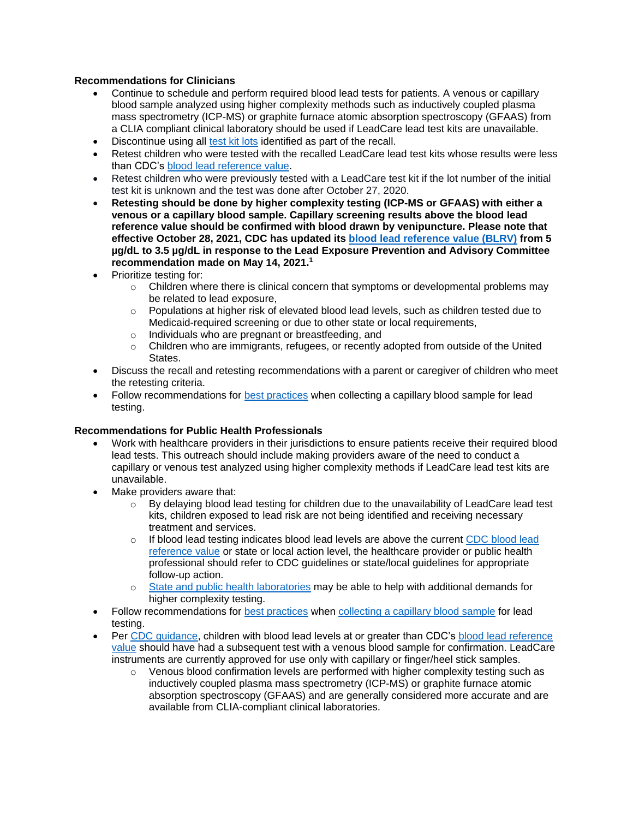# **Recommendations for Clinicians**

- Continue to schedule and perform required blood lead tests for patients. A venous or capillary blood sample analyzed using higher complexity methods such as inductively coupled plasma mass spectrometry (ICP-MS) or graphite furnace atomic absorption spectroscopy (GFAAS) from a CLIA compliant clinical laboratory should be used if LeadCare lead test kits are unavailable.
- Discontinue using all [test kit lots](https://urldefense.com/v3/__https:/www.fda.gov/medical-devices/medical-device-recalls/magellan-diagnostics-recalls-leadcare-ii-leadcare-plus-and-leadcare-ultra-blood-lead-tests-due-risk__;!!EErPFA7f--AJOw!Ty0IPSR4C-0n4NN5fToD-7j-f8dwFrfSXS8VS6A0bREzzj_5s37u2NrPxqrIsw$) identified as part of the recall.
- Retest children who were tested with the recalled LeadCare lead test kits whose results were less than CDC's [blood lead reference value.](https://urldefense.com/v3/__https:/www.cdc.gov/nceh/lead/data/blood-lead-reference-value.htm__;!!EErPFA7f--AJOw!Ty0IPSR4C-0n4NN5fToD-7j-f8dwFrfSXS8VS6A0bREzzj_5s37u2NoJMoP3kw$)
- Retest children who were previously tested with a LeadCare test kit if the lot number of the initial test kit is unknown and the test was done after October 27, 2020.
- **Retesting should be done by higher complexity testing (ICP-MS or GFAAS) with either a venous or a capillary blood sample. Capillary screening results above the blood lead reference value should be confirmed with blood drawn by venipuncture. Please note that effective October 28, 2021, CDC has updated its [blood lead reference value \(BLRV\)](https://urldefense.com/v3/__https:/www.cdc.gov/nceh/lead/data/blood-lead-reference-value.htm__;!!EErPFA7f--AJOw!Ty0IPSR4C-0n4NN5fToD-7j-f8dwFrfSXS8VS6A0bREzzj_5s37u2NoJMoP3kw$) from 5 µg/dL to 3.5 µg/dL in response to the Lead Exposure Prevention and Advisory Committee recommendation made on May 14, 2021.<sup>1</sup>**
- Prioritize testing for:
	- $\circ$  Children where there is clinical concern that symptoms or developmental problems may be related to lead exposure,
	- o Populations at higher risk of elevated blood lead levels, such as children tested due to Medicaid-required screening or due to other state or local requirements,
	- o Individuals who are pregnant or breastfeeding, and
	- $\circ$  Children who are immigrants, refugees, or recently adopted from outside of the United States.
- Discuss the recall and retesting recommendations with a parent or caregiver of children who meet the retesting criteria.
- Follow recommendations for [best practices](https://urldefense.com/v3/__https:/www.cdc.gov/nceh/lead/lab/default.htm__;!!EErPFA7f--AJOw!Ty0IPSR4C-0n4NN5fToD-7j-f8dwFrfSXS8VS6A0bREzzj_5s37u2Nrf_s7Vtw$) when collecting a capillary blood sample for lead testing.

#### **Recommendations for Public Health Professionals**

- Work with healthcare providers in their jurisdictions to ensure patients receive their required blood lead tests. This outreach should include making providers aware of the need to conduct a capillary or venous test analyzed using higher complexity methods if LeadCare lead test kits are unavailable.
- Make providers aware that:
	- $\circ$  By delaying blood lead testing for children due to the unavailability of LeadCare lead test kits, children exposed to lead risk are not being identified and receiving necessary treatment and services.
	- $\circ$  If blood lead testing indicates blood lead levels are above the current CDC blood lead [reference value](https://urldefense.com/v3/__https:/www.cdc.gov/nceh/lead/data/blood-lead-reference-value.htm__;!!EErPFA7f--AJOw!Ty0IPSR4C-0n4NN5fToD-7j-f8dwFrfSXS8VS6A0bREzzj_5s37u2NoJMoP3kw$) or state or local action level, the healthcare provider or public health professional should refer to CDC guidelines or state/local guidelines for appropriate follow-up action.
	- [State and public health laboratories](https://urldefense.com/v3/__https:/emergency.cdc.gov/lrn/__;!!EErPFA7f--AJOw!Ty0IPSR4C-0n4NN5fToD-7j-f8dwFrfSXS8VS6A0bREzzj_5s37u2Nr9UILIkg$) may be able to help with additional demands for higher complexity testing.
- Follow recommendations for [best practices](https://urldefense.com/v3/__https:/www.cdc.gov/nceh/lead/lab/default.htm__;!!EErPFA7f--AJOw!Ty0IPSR4C-0n4NN5fToD-7j-f8dwFrfSXS8VS6A0bREzzj_5s37u2Nrf_s7Vtw$) when [collecting a capillary blood sample](https://urldefense.com/v3/__https:/www.cdc.gov/biomonitoring/pdf/Lead_Fingerstick_Poster-508.pdf__;!!EErPFA7f--AJOw!Ty0IPSR4C-0n4NN5fToD-7j-f8dwFrfSXS8VS6A0bREzzj_5s37u2NrBMUdVBA$) for lead testing.
- Per [CDC guidance,](https://urldefense.com/v3/__https:/www.cdc.gov/nceh/lead/advisory/acclpp/actions-blls.htm__;!!EErPFA7f--AJOw!Ty0IPSR4C-0n4NN5fToD-7j-f8dwFrfSXS8VS6A0bREzzj_5s37u2NpCoaOrpg$) children with blood lead levels at or greater than CDC's [blood lead reference](https://urldefense.com/v3/__https:/www.cdc.gov/nceh/lead/data/blood-lead-reference-value.htm__;!!EErPFA7f--AJOw!Ty0IPSR4C-0n4NN5fToD-7j-f8dwFrfSXS8VS6A0bREzzj_5s37u2NoJMoP3kw$)  [value](https://urldefense.com/v3/__https:/www.cdc.gov/nceh/lead/data/blood-lead-reference-value.htm__;!!EErPFA7f--AJOw!Ty0IPSR4C-0n4NN5fToD-7j-f8dwFrfSXS8VS6A0bREzzj_5s37u2NoJMoP3kw$) should have had a subsequent test with a venous blood sample for confirmation. LeadCare instruments are currently approved for use only with capillary or finger/heel stick samples.
	- $\circ$  Venous blood confirmation levels are performed with higher complexity testing such as inductively coupled plasma mass spectrometry (ICP-MS) or graphite furnace atomic absorption spectroscopy (GFAAS) and are generally considered more accurate and are available from CLIA-compliant clinical laboratories.